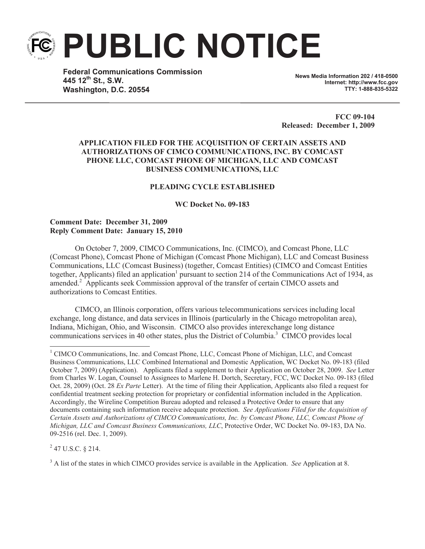**PUBLIC NOTICE**

**Federal Communications Commission 445 12th St., S.W. Washington, D.C. 20554**

**News Media Information 202 / 418-0500 Internet: http://www.fcc.gov TTY: 1-888-835-5322**

**FCC 09-104 Released: December 1, 2009**

# **APPLICATION FILED FOR THE ACQUISITION OF CERTAIN ASSETS AND AUTHORIZATIONS OF CIMCO COMMUNICATIONS, INC. BY COMCAST PHONE LLC, COMCAST PHONE OF MICHIGAN, LLC AND COMCAST BUSINESS COMMUNICATIONS, LLC**

# **PLEADING CYCLE ESTABLISHED**

**WC Docket No. 09-183**

## **Comment Date: December 31, 2009 Reply Comment Date: January 15, 2010**

On October 7, 2009, CIMCO Communications, Inc. (CIMCO), and Comcast Phone, LLC (Comcast Phone), Comcast Phone of Michigan (Comcast Phone Michigan), LLC and Comcast Business Communications, LLC (Comcast Business) (together, Comcast Entities) (CIMCO and Comcast Entities together, Applicants) filed an application<sup>1</sup> pursuant to section 214 of the Communications Act of 1934, as amended.<sup>2</sup> Applicants seek Commission approval of the transfer of certain CIMCO assets and authorizations to Comcast Entities.

CIMCO, an Illinois corporation, offers various telecommunications services including local exchange, long distance, and data services in Illinois (particularly in the Chicago metropolitan area), Indiana, Michigan, Ohio, and Wisconsin. CIMCO also provides interexchange long distance communications services in 40 other states, plus the District of Columbia.<sup>3</sup> CIMCO provides local

 $^{2}$  47 U.S.C. § 214.

<sup>3</sup> A list of the states in which CIMCO provides service is available in the Application. *See* Application at 8.

<sup>1</sup> CIMCO Communications, Inc. and Comcast Phone, LLC, Comcast Phone of Michigan, LLC, and Comcast Business Communications, LLC Combined International and Domestic Application, WC Docket No. 09-183 (filed October 7, 2009) (Application). Applicants filed a supplement to their Application on October 28, 2009. *See* Letter from Charles W. Logan, Counsel to Assignees to Marlene H. Dortch, Secretary, FCC, WC Docket No. 09-183 (filed Oct. 28, 2009) (Oct. 28 *Ex Parte* Letter). At the time of filing their Application, Applicants also filed a request for confidential treatment seeking protection for proprietary or confidential information included in the Application. Accordingly, the Wireline Competition Bureau adopted and released a Protective Order to ensure that any documents containing such information receive adequate protection. *See Applications Filed for the Acquisition of Certain Assets and Authorizations of CIMCO Communications, Inc. by Comcast Phone, LLC, Comcast Phone of Michigan, LLC and Comcast Business Communications, LLC*, Protective Order, WC Docket No. 09-183, DA No. 09-2516 (rel. Dec. 1, 2009).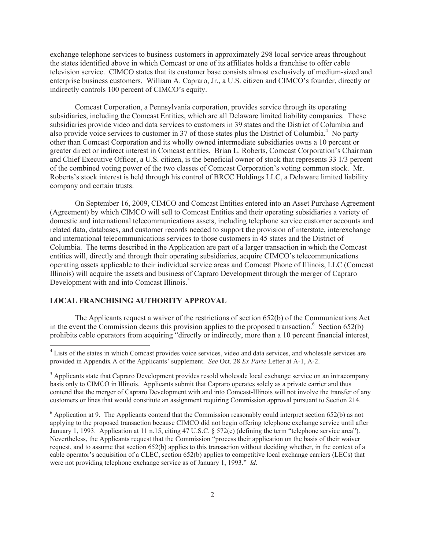exchange telephone services to business customers in approximately 298 local service areas throughout the states identified above in which Comcast or one of its affiliates holds a franchise to offer cable television service. CIMCO states that its customer base consists almost exclusively of medium-sized and enterprise business customers. William A. Capraro, Jr., a U.S. citizen and CIMCO's founder, directly or indirectly controls 100 percent of CIMCO's equity.

Comcast Corporation, a Pennsylvania corporation, provides service through its operating subsidiaries, including the Comcast Entities, which are all Delaware limited liability companies. These subsidiaries provide video and data services to customers in 39 states and the District of Columbia and also provide voice services to customer in 37 of those states plus the District of Columbia.<sup>4</sup> No party other than Comcast Corporation and its wholly owned intermediate subsidiaries owns a 10 percent or greater direct or indirect interest in Comcast entities. Brian L. Roberts, Comcast Corporation's Chairman and Chief Executive Officer, a U.S. citizen, is the beneficial owner of stock that represents 33 1/3 percent of the combined voting power of the two classes of Comcast Corporation's voting common stock. Mr. Roberts's stock interest is held through his control of BRCC Holdings LLC, a Delaware limited liability company and certain trusts.

On September 16, 2009, CIMCO and Comcast Entities entered into an Asset Purchase Agreement (Agreement) by which CIMCO will sell to Comcast Entities and their operating subsidiaries a variety of domestic and international telecommunications assets, including telephone service customer accounts and related data, databases, and customer records needed to support the provision of interstate, interexchange and international telecommunications services to those customers in 45 states and the District of Columbia. The terms described in the Application are part of a larger transaction in which the Comcast entities will, directly and through their operating subsidiaries, acquire CIMCO's telecommunications operating assets applicable to their individual service areas and Comcast Phone of Illinois, LLC (Comcast Illinois) will acquire the assets and business of Capraro Development through the merger of Capraro Development with and into Comcast Illinois.<sup>5</sup>

## **LOCAL FRANCHISING AUTHORITY APPROVAL**

The Applicants request a waiver of the restrictions of section 652(b) of the Communications Act in the event the Commission deems this provision applies to the proposed transaction.<sup>6</sup> Section 652(b) prohibits cable operators from acquiring "directly or indirectly, more than a 10 percent financial interest,

<sup>&</sup>lt;sup>4</sup> Lists of the states in which Comcast provides voice services, video and data services, and wholesale services are provided in Appendix A of the Applicants' supplement. *See* Oct. 28 *Ex Parte* Letter at A-1, A-2.

<sup>&</sup>lt;sup>5</sup> Applicants state that Capraro Development provides resold wholesale local exchange service on an intracompany basis only to CIMCO in Illinois. Applicants submit that Capraro operates solely as a private carrier and thus contend that the merger of Capraro Development with and into Comcast-Illinois will not involve the transfer of any customers or lines that would constitute an assignment requiring Commission approval pursuant to Section 214.

 $6$  Application at 9. The Applicants contend that the Commission reasonably could interpret section 652(b) as not applying to the proposed transaction because CIMCO did not begin offering telephone exchange service until after January 1, 1993. Application at 11 n.15, citing 47 U.S.C. § 572(e) (defining the term "telephone service area"). Nevertheless, the Applicants request that the Commission "process their application on the basis of their waiver request, and to assume that section 652(b) applies to this transaction without deciding whether, in the context of a cable operator's acquisition of a CLEC, section 652(b) applies to competitive local exchange carriers (LECs) that were not providing telephone exchange service as of January 1, 1993." *Id*.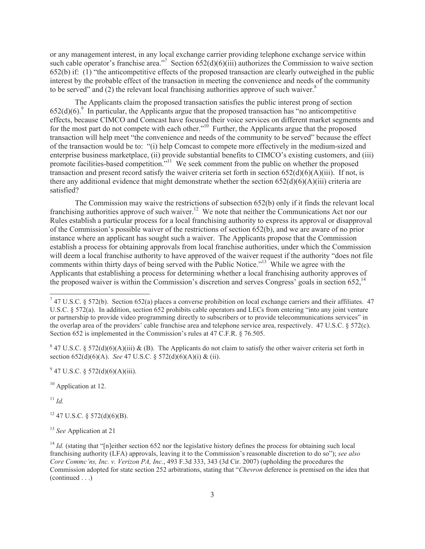or any management interest, in any local exchange carrier providing telephone exchange service within such cable operator's franchise area."<sup>7</sup> Section  $652(d)(6)(iii)$  authorizes the Commission to waive section 652(b) if: (1) "the anticompetitive effects of the proposed transaction are clearly outweighed in the public interest by the probable effect of the transaction in meeting the convenience and needs of the community to be served" and  $(2)$  the relevant local franchising authorities approve of such waiver.<sup>8</sup>

The Applicants claim the proposed transaction satisfies the public interest prong of section  $652(d)(6)$ .<sup>9</sup> In particular, the Applicants argue that the proposed transaction has "no anticompetitive effects, because CIMCO and Comcast have focused their voice services on different market segments and for the most part do not compete with each other."<sup>10</sup> Further, the Applicants argue that the proposed transaction will help meet "the convenience and needs of the community to be served" because the effect of the transaction would be to: "(i) help Comcast to compete more effectively in the medium-sized and enterprise business marketplace, (ii) provide substantial benefits to CIMCO's existing customers, and (iii) promote facilities-based competition."<sup>11</sup> We seek comment from the public on whether the proposed transaction and present record satisfy the waiver criteria set forth in section 652(d)(6)(A)(iii). If not, is there any additional evidence that might demonstrate whether the section  $652(d)(6)(A)(iii)$  criteria are satisfied?

The Commission may waive the restrictions of subsection 652(b) only if it finds the relevant local franchising authorities approve of such waiver.<sup>12</sup> We note that neither the Communications Act nor our Rules establish a particular process for a local franchising authority to express its approval or disapproval of the Commission's possible waiver of the restrictions of section 652(b), and we are aware of no prior instance where an applicant has sought such a waiver. The Applicants propose that the Commission establish a process for obtaining approvals from local franchise authorities, under which the Commission will deem a local franchise authority to have approved of the waiver request if the authority "does not file" comments within thirty days of being served with the Public Notice."<sup>13</sup> While we agree with the Applicants that establishing a process for determining whether a local franchising authority approves of the proposed waiver is within the Commission's discretion and serves Congress' goals in section  $652$ ,<sup>14</sup>

<sup>8</sup> 47 U.S.C. § 572(d)(6)(A)(iii) & (B). The Applicants do not claim to satisfy the other waiver criteria set forth in section 652(d)(6)(A). *See* 47 U.S.C. § 572(d)(6)(A)(i) & (ii).

<sup>10</sup> Application at 12.

 $11$  *Id.* 

 $12$  47 U.S.C. § 572(d)(6)(B).

<sup>13</sup> *See* Application at 21

<sup>&</sup>lt;sup>7</sup> 47 U.S.C. § 572(b). Section 652(a) places a converse prohibition on local exchange carriers and their affiliates. 47 U.S.C. § 572(a). In addition, section 652 prohibits cable operators and LECs from entering "into any joint venture or partnership to provide video programming directly to subscribers or to provide telecommunications services" in the overlap area of the providers' cable franchise area and telephone service area, respectively. 47 U.S.C. § 572(c). Section 652 is implemented in the Commission's rules at 47 C.F.R. § 76.505.

 $9^9$  47 U.S.C. § 572(d)(6)(A)(iii).

<sup>&</sup>lt;sup>14</sup> *Id.* (stating that "[n]either section 652 nor the legislative history defines the process for obtaining such local franchising authority (LFA) approvals, leaving it to the Commission's reasonable discretion to do so"); *see also Core Commc'ns, Inc. v. Verizon PA, Inc.*, 493 F.3d 333, 343 (3d Cir. 2007) (upholding the procedures the Commission adopted for state section 252 arbitrations, stating that "*Chevron* deference is premised on the idea that (continued . . .)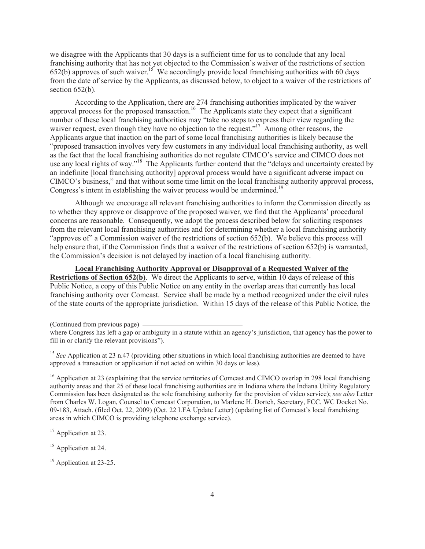we disagree with the Applicants that 30 days is a sufficient time for us to conclude that any local franchising authority that has not yet objected to the Commission's waiver of the restrictions of section  $652(b)$  approves of such waiver.<sup>15</sup> We accordingly provide local franchising authorities with 60 days from the date of service by the Applicants, as discussed below, to object to a waiver of the restrictions of section 652(b).

According to the Application, there are 274 franchising authorities implicated by the waiver approval process for the proposed transaction.<sup>16</sup> The Applicants state they expect that a significant number of these local franchising authorities may "take no steps to express their view regarding the waiver request, even though they have no objection to the request."<sup>17</sup> Among other reasons, the Applicants argue that inaction on the part of some local franchising authorities is likely because the "proposed transaction involves very few customers in any individual local franchising authority, as well as the fact that the local franchising authorities do not regulate CIMCO's service and CIMCO does not use any local rights of way."<sup>18</sup> The Applicants further contend that the "delays and uncertainty created by an indefinite [local franchising authority] approval process would have a significant adverse impact on CIMCO's business," and that without some time limit on the local franchising authority approval process, Congress's intent in establishing the waiver process would be undermined.<sup>19</sup>

Although we encourage all relevant franchising authorities to inform the Commission directly as to whether they approve or disapprove of the proposed waiver, we find that the Applicants' procedural concerns are reasonable. Consequently, we adopt the process described below for soliciting responses from the relevant local franchising authorities and for determining whether a local franchising authority "approves of" a Commission waiver of the restrictions of section 652(b). We believe this process will help ensure that, if the Commission finds that a waiver of the restrictions of section 652(b) is warranted, the Commission's decision is not delayed by inaction of a local franchising authority.

**Local Franchising Authority Approval or Disapproval of a Requested Waiver of the Restrictions of Section 652(b)**. We direct the Applicants to serve, within 10 days of release of this Public Notice, a copy of this Public Notice on any entity in the overlap areas that currently has local franchising authority over Comcast. Service shall be made by a method recognized under the civil rules of the state courts of the appropriate jurisdiction. Within 15 days of the release of this Public Notice, the

(Continued from previous page)

<sup>16</sup> Application at 23 (explaining that the service territories of Comcast and CIMCO overlap in 298 local franchising authority areas and that 25 of these local franchising authorities are in Indiana where the Indiana Utility Regulatory Commission has been designated as the sole franchising authority for the provision of video service); *see also* Letter from Charles W. Logan, Counsel to Comcast Corporation, to Marlene H. Dortch, Secretary, FCC, WC Docket No. 09-183, Attach. (filed Oct. 22, 2009) (Oct. 22 LFA Update Letter) (updating list of Comcast's local franchising areas in which CIMCO is providing telephone exchange service).

<sup>17</sup> Application at 23.

<sup>18</sup> Application at 24.

<sup>19</sup> Application at 23-25.

where Congress has left a gap or ambiguity in a statute within an agency's jurisdiction, that agency has the power to fill in or clarify the relevant provisions").

<sup>&</sup>lt;sup>15</sup> *See* Application at 23 n.47 (providing other situations in which local franchising authorities are deemed to have approved a transaction or application if not acted on within 30 days or less).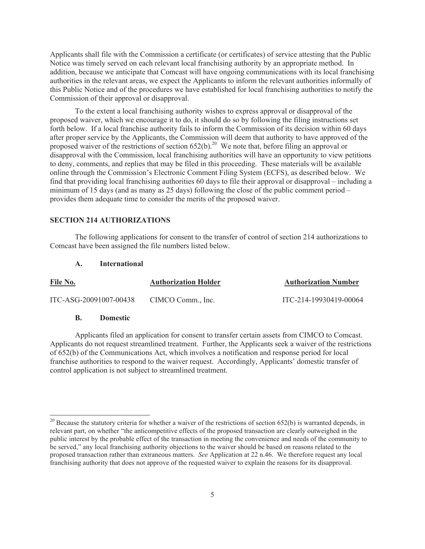Applicants shall file with the Commission a certificate (or certificates) of service attesting that the Public Notice was timely served on each relevant local franchising authority by an appropriate method. In addition, because we anticipate that Comcast will have ongoing communications with its local franchising authorities in the relevant areas, we expect the Applicants to inform the relevant authorities informally of this Public Notice and of the procedures we have established for local franchising authorities to notify the Commission of their approval or disapproval.

To the extent a local franchising authority wishes to express approval or disapproval of the proposed waiver, which we encourage it to do, it should do so by following the filing instructions set forth below. If a local franchise authority fails to inform the Commission of its decision within 60 days after proper service by the Applicants, the Commission will deem that authority to have approved of the proposed waiver of the restrictions of section  $652(b)$ .<sup>20</sup> We note that, before filing an approval or disapproval with the Commission, local franchising authorities will have an opportunity to view petitions to deny, comments, and replies that may be filed in this proceeding. These materials will be available online through the Commission's Electronic Comment Filing System (ECFS), as described below. We find that providing local franchising authorities 60 days to file their approval or disapproval – including a minimum of 15 days (and as many as 25 days) following the close of the public comment period – provides them adequate time to consider the merits of the proposed waiver.

#### **SECTION 214 AUTHORIZATIONS**

The following applications for consent to the transfer of control of section 214 authorizations to Comcast have been assigned the file numbers listed below.

#### **A. International**

| <u>File No.</u>        | <b>Authorization Holder</b> | <b>Authorization Number</b> |
|------------------------|-----------------------------|-----------------------------|
| ITC-ASG-20091007-00438 | CIMCO Comm., Inc.           | ITC-214-19930419-00064      |

### **B. Domestic**

Applicants filed an application for consent to transfer certain assets from CIMCO to Comcast. Applicants do not request streamlined treatment. Further, the Applicants seek a waiver of the restrictions of 652(b) of the Communications Act, which involves a notification and response period for local franchise authorities to respond to the waiver request. Accordingly, Applicants' domestic transfer of control application is not subject to streamlined treatment.

 $20$  Because the statutory criteria for whether a waiver of the restrictions of section 652(b) is warranted depends, in relevant part, on whether "the anticompetitive effects of the proposed transaction are clearly outweighed in the public interest by the probable effect of the transaction in meeting the convenience and needs of the community to be served," any local franchising authority objections to the waiver should be based on reasons related to the proposed transaction rather than extraneous matters. *See* Application at 22 n.46. We therefore request any local franchising authority that does not approve of the requested waiver to explain the reasons for its disapproval.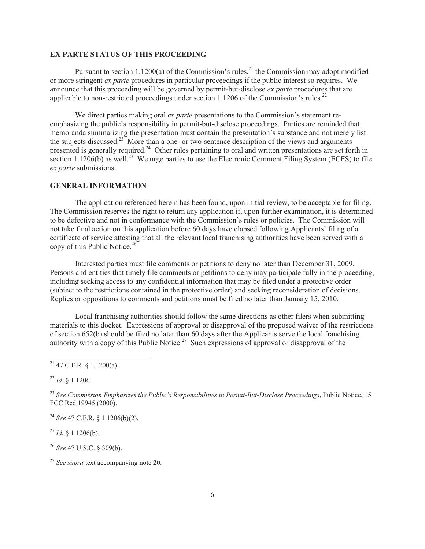#### **EX PARTE STATUS OF THIS PROCEEDING**

Pursuant to section 1.1200(a) of the Commission's rules,<sup>21</sup> the Commission may adopt modified or more stringent *ex parte* procedures in particular proceedings if the public interest so requires. We announce that this proceeding will be governed by permit-but-disclose *ex parte* procedures that are applicable to non-restricted proceedings under section 1.1206 of the Commission's rules.<sup>22</sup>

We direct parties making oral *ex parte* presentations to the Commission's statement reemphasizing the public's responsibility in permit-but-disclose proceedings. Parties are reminded that memoranda summarizing the presentation must contain the presentation's substance and not merely list the subjects discussed.<sup>23</sup> More than a one- or two-sentence description of the views and arguments presented is generally required.<sup>24</sup> Other rules pertaining to oral and written presentations are set forth in section 1.1206(b) as well.<sup>25</sup> We urge parties to use the Electronic Comment Filing System (ECFS) to file *ex parte* submissions.

#### **GENERAL INFORMATION**

The application referenced herein has been found, upon initial review, to be acceptable for filing. The Commission reserves the right to return any application if, upon further examination, it is determined to be defective and not in conformance with the Commission's rules or policies. The Commission will not take final action on this application before 60 days have elapsed following Applicants' filing of a certificate of service attesting that all the relevant local franchising authorities have been served with a copy of this Public Notice.<sup>26</sup>

Interested parties must file comments or petitions to deny no later than December 31, 2009. Persons and entities that timely file comments or petitions to deny may participate fully in the proceeding, including seeking access to any confidential information that may be filed under a protective order (subject to the restrictions contained in the protective order) and seeking reconsideration of decisions. Replies or oppositions to comments and petitions must be filed no later than January 15, 2010.

Local franchising authorities should follow the same directions as other filers when submitting materials to this docket. Expressions of approval or disapproval of the proposed waiver of the restrictions of section 652(b) should be filed no later than 60 days after the Applicants serve the local franchising authority with a copy of this Public Notice.<sup>27</sup> Such expressions of approval or disapproval of the

 $^{22}$  *Id.* § 1.1206.

<sup>24</sup> *See* 47 C.F.R. § 1.1206(b)(2).

 $^{25}$  *Id.* § 1.1206(b).

<sup>26</sup> *See* 47 U.S.C. § 309(b).

<sup>27</sup> *See supra* text accompanying note 20.

 $21$  47 C.F.R. § 1.1200(a).

<sup>23</sup> *See Commission Emphasizes the Public's Responsibilities in Permit-But-Disclose Proceedings*, Public Notice, 15 FCC Rcd 19945 (2000).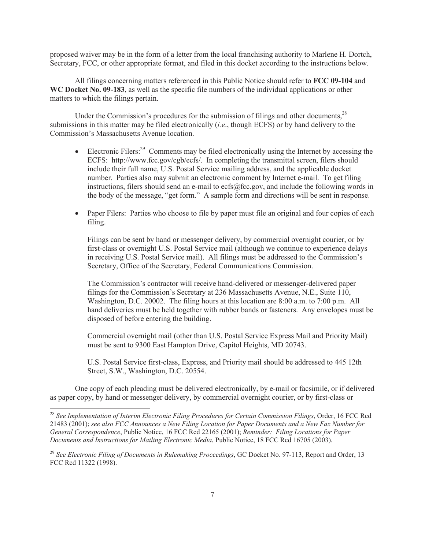proposed waiver may be in the form of a letter from the local franchising authority to Marlene H. Dortch, Secretary, FCC, or other appropriate format, and filed in this docket according to the instructions below.

All filings concerning matters referenced in this Public Notice should refer to **FCC 09-104** and **WC Docket No. 09-183**, as well as the specific file numbers of the individual applications or other matters to which the filings pertain.

Under the Commission's procedures for the submission of filings and other documents,<sup>28</sup> submissions in this matter may be filed electronically (*i.e*., though ECFS) or by hand delivery to the Commission's Massachusetts Avenue location.

- Electronic Filers:<sup>29</sup> Comments may be filed electronically using the Internet by accessing the ECFS: http://www.fcc.gov/cgb/ecfs/. In completing the transmittal screen, filers should include their full name, U.S. Postal Service mailing address, and the applicable docket number. Parties also may submit an electronic comment by Internet e-mail. To get filing instructions, filers should send an e-mail to ecfs@fcc.gov, and include the following words in the body of the message, "get form." A sample form and directions will be sent in response.
- Paper Filers: Parties who choose to file by paper must file an original and four copies of each filing.

Filings can be sent by hand or messenger delivery, by commercial overnight courier, or by first-class or overnight U.S. Postal Service mail (although we continue to experience delays in receiving U.S. Postal Service mail). All filings must be addressed to the Commission's Secretary, Office of the Secretary, Federal Communications Commission.

The Commission's contractor will receive hand-delivered or messenger-delivered paper filings for the Commission's Secretary at 236 Massachusetts Avenue, N.E., Suite 110, Washington, D.C. 20002. The filing hours at this location are 8:00 a.m. to 7:00 p.m. All hand deliveries must be held together with rubber bands or fasteners. Any envelopes must be disposed of before entering the building.

Commercial overnight mail (other than U.S. Postal Service Express Mail and Priority Mail) must be sent to 9300 East Hampton Drive, Capitol Heights, MD 20743.

U.S. Postal Service first-class, Express, and Priority mail should be addressed to 445 12th Street, S.W., Washington, D.C. 20554.

One copy of each pleading must be delivered electronically, by e-mail or facsimile, or if delivered as paper copy, by hand or messenger delivery, by commercial overnight courier, or by first-class or

<sup>28</sup> *See Implementation of Interim Electronic Filing Procedures for Certain Commission Filings*, Order, 16 FCC Rcd 21483 (2001); *see also FCC Announces a New Filing Location for Paper Documents and a New Fax Number for General Correspondence*, Public Notice, 16 FCC Rcd 22165 (2001); *Reminder: Filing Locations for Paper Documents and Instructions for Mailing Electronic Media*, Public Notice, 18 FCC Rcd 16705 (2003).

<sup>29</sup> *See Electronic Filing of Documents in Rulemaking Proceedings*, GC Docket No. 97-113, Report and Order, 13 FCC Rcd 11322 (1998).